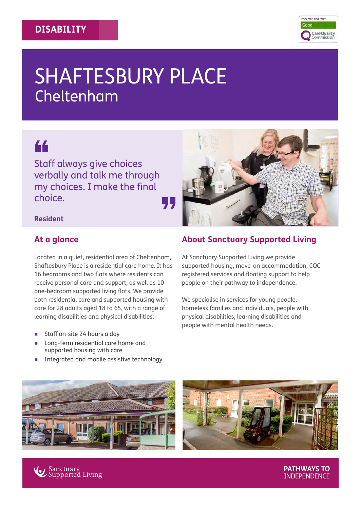

# SHAFTESBURY PLACE Cheltenham

# 66

Staff always give choices verbally and talk me through my choices. I make the final choice. "

#### **Resident**

## **At a glance**

Located in a quiet, residential area of Cheltenham, Shaftesbury Place is a residential care home. It has 16 bedrooms and two flats where residents can receive personal care and support, as well as 10 one-bedroom supported living flats. We provide both residential care and supported housing with care for 28 adults aged 18 to 65, with a range of learning disabilities and physical disabilities.

- Staff on-site 24 hours a day
- Long-term residential care home and supported housing with care
- Integrated and mobile assistive technology







# **About Sanctuary Supported Living**

At Sanctuary Supported Living we provide supported housing, move-on accommodation, CQC registered services and floating support to help people on their pathway to independence.

We specialise in services for young people, homeless families and individuals, people with physical disabilities, learning disabilities and people with mental health needs.